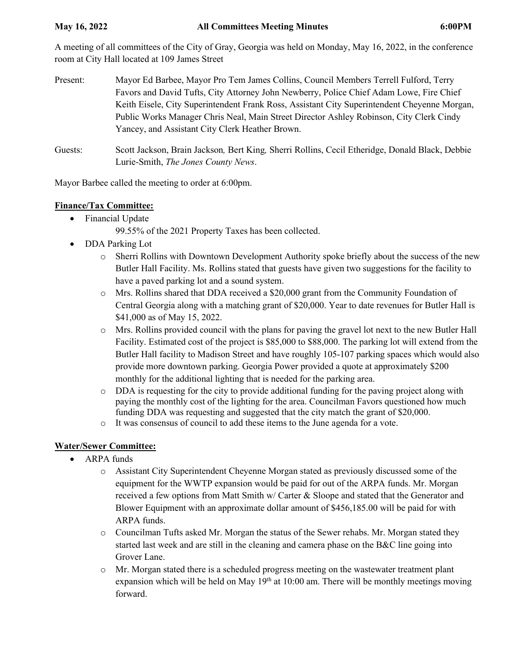A meeting of all committees of the City of Gray, Georgia was held on Monday, May 16, 2022, in the conference room at City Hall located at 109 James Street

- Present: Mayor Ed Barbee, Mayor Pro Tem James Collins, Council Members Terrell Fulford, Terry Favors and David Tufts, City Attorney John Newberry, Police Chief Adam Lowe, Fire Chief Keith Eisele, City Superintendent Frank Ross, Assistant City Superintendent Cheyenne Morgan, Public Works Manager Chris Neal, Main Street Director Ashley Robinson, City Clerk Cindy Yancey, and Assistant City Clerk Heather Brown.
- Guests: Scott Jackson, Brain Jackson*,* Bert King*,* Sherri Rollins, Cecil Etheridge, Donald Black, Debbie Lurie-Smith, *The Jones County News*.

Mayor Barbee called the meeting to order at 6:00pm.

## **Finance/Tax Committee:**

- Financial Update
	- 99.55% of the 2021 Property Taxes has been collected.
- DDA Parking Lot
	- o Sherri Rollins with Downtown Development Authority spoke briefly about the success of the new Butler Hall Facility. Ms. Rollins stated that guests have given two suggestions for the facility to have a paved parking lot and a sound system.
	- o Mrs. Rollins shared that DDA received a \$20,000 grant from the Community Foundation of Central Georgia along with a matching grant of \$20,000. Year to date revenues for Butler Hall is \$41,000 as of May 15, 2022.
	- o Mrs. Rollins provided council with the plans for paving the gravel lot next to the new Butler Hall Facility. Estimated cost of the project is \$85,000 to \$88,000. The parking lot will extend from the Butler Hall facility to Madison Street and have roughly 105-107 parking spaces which would also provide more downtown parking. Georgia Power provided a quote at approximately \$200 monthly for the additional lighting that is needed for the parking area.
	- $\circ$  DDA is requesting for the city to provide additional funding for the paving project along with paying the monthly cost of the lighting for the area. Councilman Favors questioned how much funding DDA was requesting and suggested that the city match the grant of \$20,000.
	- o It was consensus of council to add these items to the June agenda for a vote.

## **Water/Sewer Committee:**

- ARPA funds
	- o Assistant City Superintendent Cheyenne Morgan stated as previously discussed some of the equipment for the WWTP expansion would be paid for out of the ARPA funds. Mr. Morgan received a few options from Matt Smith w/ Carter & Sloope and stated that the Generator and Blower Equipment with an approximate dollar amount of \$456,185.00 will be paid for with ARPA funds.
	- o Councilman Tufts asked Mr. Morgan the status of the Sewer rehabs. Mr. Morgan stated they started last week and are still in the cleaning and camera phase on the B&C line going into Grover Lane.
	- o Mr. Morgan stated there is a scheduled progress meeting on the wastewater treatment plant expansion which will be held on May  $19<sup>th</sup>$  at 10:00 am. There will be monthly meetings moving forward.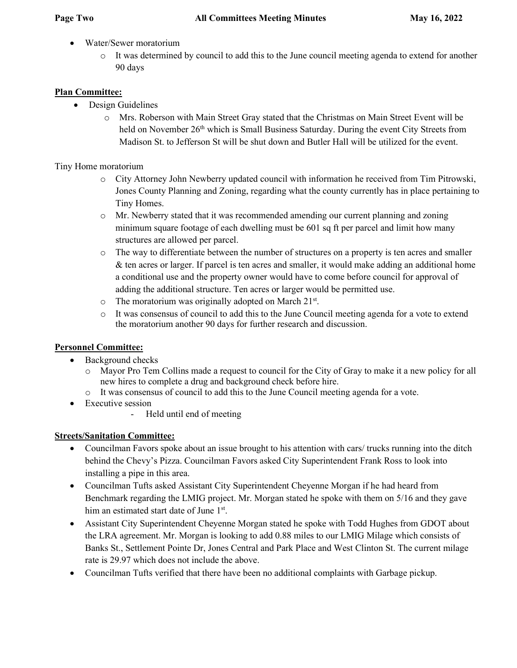- Water/Sewer moratorium
	- o It was determined by council to add this to the June council meeting agenda to extend for another 90 days

## **Plan Committee:**

- Design Guidelines
	- o Mrs. Roberson with Main Street Gray stated that the Christmas on Main Street Event will be held on November 26<sup>th</sup> which is Small Business Saturday. During the event City Streets from Madison St. to Jefferson St will be shut down and Butler Hall will be utilized for the event.

Tiny Home moratorium

- o City Attorney John Newberry updated council with information he received from Tim Pitrowski, Jones County Planning and Zoning, regarding what the county currently has in place pertaining to Tiny Homes.
- o Mr. Newberry stated that it was recommended amending our current planning and zoning minimum square footage of each dwelling must be 601 sq ft per parcel and limit how many structures are allowed per parcel.
- o The way to differentiate between the number of structures on a property is ten acres and smaller & ten acres or larger. If parcel is ten acres and smaller, it would make adding an additional home a conditional use and the property owner would have to come before council for approval of adding the additional structure. Ten acres or larger would be permitted use.
- $\circ$  The moratorium was originally adopted on March 21st.
- o It was consensus of council to add this to the June Council meeting agenda for a vote to extend the moratorium another 90 days for further research and discussion.

# **Personnel Committee:**

- Background checks
	- o Mayor Pro Tem Collins made a request to council for the City of Gray to make it a new policy for all new hires to complete a drug and background check before hire.
	- o It was consensus of council to add this to the June Council meeting agenda for a vote.
- Executive session
	- Held until end of meeting

# **Streets/Sanitation Committee:**

- Councilman Favors spoke about an issue brought to his attention with cars/ trucks running into the ditch behind the Chevy's Pizza. Councilman Favors asked City Superintendent Frank Ross to look into installing a pipe in this area.
- Councilman Tufts asked Assistant City Superintendent Cheyenne Morgan if he had heard from Benchmark regarding the LMIG project. Mr. Morgan stated he spoke with them on 5/16 and they gave him an estimated start date of June 1st.
- Assistant City Superintendent Cheyenne Morgan stated he spoke with Todd Hughes from GDOT about the LRA agreement. Mr. Morgan is looking to add 0.88 miles to our LMIG Milage which consists of Banks St., Settlement Pointe Dr, Jones Central and Park Place and West Clinton St. The current milage rate is 29.97 which does not include the above.
- Councilman Tufts verified that there have been no additional complaints with Garbage pickup.